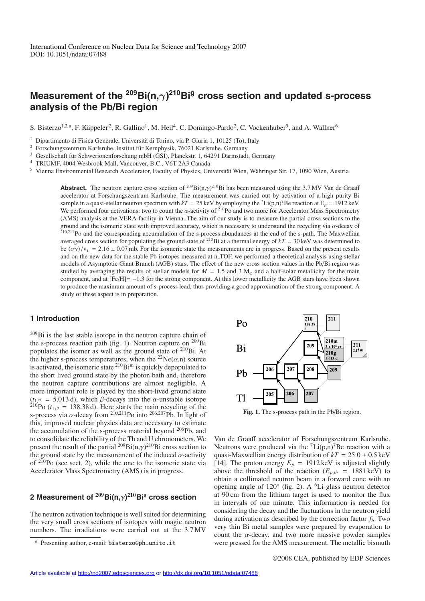# **Measurement of the 209Bi(n,**γ**) 210Big cross section and updated s-process analysis of the Pb/Bi region**

S. Bisterzo<sup>1,2,a</sup>, F. Käppeler<sup>2</sup>, R. Gallino<sup>1</sup>, M. Heil<sup>4</sup>, C. Domingo-Pardo<sup>2</sup>, C. Vockenhuber<sup>5</sup>, and A. Wallner<sup>6</sup>

 $1$  Dipartimento di Fisica Generale, Università di Torino, via P. Giuria 1, 10125 (To), Italy

<sup>2</sup> Forschungszentrum Karlsruhe, Institut für Kernphysik, 76021 Karlsruhe, Germany

<sup>3</sup> Gesellschaft für Schwerionenforschung mbH (GSI), Planckstr. 1, 64291 Darmstadt, Germany

<sup>4</sup> TRIUMF, 4004 Wesbrook Mall, Vancouver, B.C., V6T 2A3 Canada

<sup>5</sup> Vienna Environmental Research Accelerator, Faculty of Physics, Universität Wien, Währinger Str. 17, 1090 Wien, Austria

**Abstract.** The neutron capture cross section of <sup>209</sup>Bi(n, $\gamma$ )<sup>210</sup>Bi has been measured using the 3.7 MV Van de Graaff accelerator at Forschungszentrum Karlsruhe. The measurement was carried out by activation of a high purity Bi sample in a quasi-stellar neutron spectrum with  $kT = 25 \text{ keV}$  by employing the <sup>7</sup>Li(p,n)<sup>7</sup>Be reaction at E<sub>p</sub> = 1912 keV. We performed four activations: two to count the  $\alpha$ -activity of <sup>210</sup>Po and two more for Accelerator Mass Spectrometry (AMS) analysis at the VERA facility in Vienna. The aim of our study is to measure the partial cross sections to the ground and the isomeric state with improved accuracy, which is necessary to understand the recycling via  $\alpha$ -decay of <sup>210</sup>,211Po and the corresponding accumulation of the s-process abundances at the end of the s-path. The Maxwellian averaged cross section for populating the ground state of <sup>210</sup>Bi at a thermal energy of  $kT = 30 \text{ keV}$  was determined to be  $\langle \sigma v \rangle / v_T = 2.16 \pm 0.07$  mb. For the isomeric state the measurements are in progress. Based on the present results and on the new data for the stable Pb isotopes measured at n\_TOF, we performed a theoretical analysis using stellar models of Asymptotic Giant Branch (AGB) stars. The effect of the new cross section values in the Pb/Bi region was studied by averaging the results of stellar models for  $M = 1.5$  and 3 M<sub>o</sub> and a half-solar metallicity for the main component, and at [Fe/H]= −1.3 for the strong component. At this lower metallicity the AGB stars have been shown to produce the maximum amount of s-process lead, thus providing a good approximation of the strong component. A study of these aspect is in preparation.

### **1 Introduction**

209Bi is the last stable isotope in the neutron capture chain of the s-process reaction path (fig. 1). Neutron capture on <sup>209</sup>Bi populates the isomer as well as the ground state of 210Bi. At the higher s-process temperatures, when the <sup>22</sup>Ne( $\alpha$ ,n) source is activated, the isomeric state  $2^{10}$ Bi<sup>m</sup> is quickly depopulated to the short lived ground state by the photon bath and, therefore the neutron capture contributions are almost negligible. A more important role is played by the short-lived ground state  $(t_{1/2} = 5.013 \text{ d})$ , which  $\beta$ -decays into the  $\alpha$ -unstable isotope <sup>210</sup>Po ( $t_{1/2}$  = 138.38 d). Here starts the main recycling of the s-process via  $\alpha$ -decay from <sup>210,211</sup>Po into <sup>206,207</sup>Pb. In light of this, improved nuclear physics data are necessary to estimate the accumulation of the s-process material beyond <sup>206</sup>Pb, and to consolidate the reliability of the Th and U chronometers. We present the result of the partial  $^{209}$ Bi(n, $\gamma$ )<sup>210</sup>Bi cross section to the ground state by the measurement of the induced  $\alpha$ -activity of  $2^{10}$ Po (see sect. 2), while the one to the isomeric state via Accelerator Mass Spectrometry (AMS) is in progress.

## **2 Measurement of <sup>209</sup>Bi(n,**γ**) <sup>210</sup>Bi<sup>g</sup> cross section**

The neutron activation technique is well suited for determining the very small cross sections of isotopes with magic neutron numbers. The irradiations were carried out at the 3.7 MV



**Fig. 1.** The s-process path in the Pb/Bi region.

Van de Graaff accelerator of Forschungszentrum Karlsruhe. Neutrons were produced via the  ${}^{7}Li(p,n){}^{7}Be$  reaction with a quasi-Maxwellian energy distribution of  $kT = 25.0 \pm 0.5$  keV [14]. The proton energy  $E_p = 1912 \text{ keV}$  is adjusted slightly above the threshold of the reaction  $(E_{p,th} = 1881 \text{ keV})$  to obtain a collimated neutron beam in a forward cone with an opening angle of  $120°$  (fig. 2). A <sup>6</sup>Li glass neutron detector at 90 cm from the lithium target is used to monitor the flux in intervals of one minute. This information is needed for considering the decay and the fluctuations in the neutron yield during activation as described by the correction factor  $f_b$ . Two very thin Bi metal samples were prepared by evaporation to count the  $\alpha$ -decay, and two more massive powder samples were pressed for the AMS measurement. The metallic bismuth

Presenting author, e-mail: bisterzo@ph.unito.it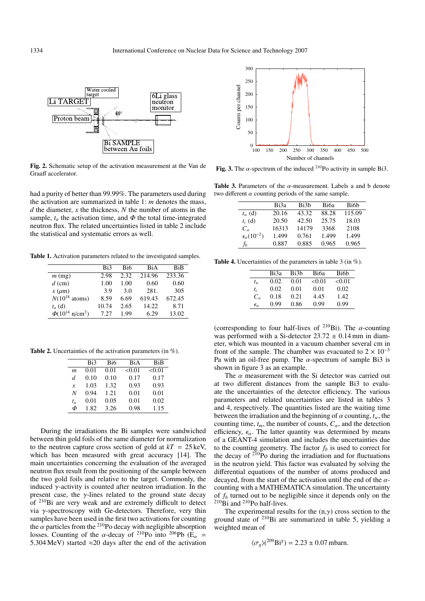1334 International Conference on Nuclear Data for Science and Technology 2007



**Fig. 2.** Schematic setup of the activation measurement at the Van de Graaff accelerator.

had a purity of better than 99.99%. The parameters used during the activation are summarized in table 1: *m* denotes the mass, *d* the diameter, *x* the thickness, *N* the number of atoms in the sample,  $t_a$  the activation time, and  $\Phi$  the total time-integrated neutron flux. The related uncertainties listed in table 2 include the statistical and systematic errors as well.

**Table 1.** Activation parameters related to the investigated samples.

|                                | Bi3   | Bi6  | BiA    | <b>BiB</b> |
|--------------------------------|-------|------|--------|------------|
| $m$ (mg)                       | 2.98  | 2.32 | 214.96 | 233.36     |
| $d$ (cm)                       | 1.00  | 1.00 | 0.60   | 0.60       |
| $x \, (\mu m)$                 | 3.9   | 3.0  | 281.   | 305        |
| $N(10^{18}$ atoms)             | 8.59  | 6.69 | 619.43 | 672.45     |
| $t_a$ (d)                      | 10.74 | 2.65 | 14.22  | 8.71       |
| $\Phi(10^{14} \text{ n/cm}^2)$ | 7.27  | 1.99 | 6.29   | 13.02      |

**Table 2.** Uncertainties of the activation parameters (in %).

|                  | Bi3  | Bi6  | BiA    | <b>BiB</b> |
|------------------|------|------|--------|------------|
| $\boldsymbol{m}$ | 0.01 | 0.01 | < 0.01 | < 0.01     |
| d                | 0.10 | 0.10 | 0.17   | 0.17       |
| $\boldsymbol{x}$ | 1.03 | 1.32 | 0.93   | 0.93       |
| N                | 0.94 | 1.21 | 0.01   | 0.01       |
| $t_a$            | 0.01 | 0.05 | 0.01   | 0.02       |
| Φ                | 1.82 | 3.26 | 0.98   | 1.15       |

During the irradiations the Bi samples were sandwiched between thin gold foils of the same diameter for normalization to the neutron capture cross section of gold at  $kT = 25 \text{ keV}$ , which has been measured with great accuracy [14]. The main uncertainties concerning the evaluation of the averaged neutron flux result from the positioning of the sample between the two gold foils and relative to the target. Commonly, the induced  $\gamma$ -activity is counted after neutron irradiation. In the present case, the  $\gamma$ -lines related to the ground state decay of 210Bi are very weak and are extremely difficult to detect via γ-spectroscopy with Ge-detectors. Therefore, very thin samples have been used in the first two activations for counting the  $\alpha$  particles from the <sup>210</sup>Po decay with negligible absorption losses. Counting of the  $\alpha$ -decay of <sup>210</sup>Po into <sup>206</sup>Pb (E<sub> $\alpha$ </sub> = 5.304 MeV) started  $\approx$  20 days after the end of the activation



**Fig. 3.** The  $\alpha$ -spectrum of the induced <sup>210</sup>Po activity in sample Bi3.

**Table 3.** Parameters of the  $\alpha$ -measurement. Labels a and b denote two different  $\alpha$  counting periods of the same sample.

|                              | Bi3a  | Bi3b  | Bi6a  | Bi6b   |
|------------------------------|-------|-------|-------|--------|
| $t_{w}$ (d)                  | 20.16 | 43.32 | 88.28 | 115.09 |
| $t_c$ (d)                    | 20.50 | 42.50 | 25.75 | 18.03  |
| $C_{\alpha}$                 | 16313 | 14179 | 3368  | 2108   |
| $\epsilon_{\alpha}(10^{-2})$ | 1.499 | 0.761 | 1.499 | 1.499  |
| $f_h$                        | 0.887 | 0.885 | 0.965 | 0.965  |

**Table 4.** Uncertainties of the parameters in table 3 (in %).

| Bi6b   |
|--------|
|        |
| < 0.01 |
| 0.02   |
| 1.42   |
| 0.99   |
|        |

(corresponding to four half-lives of <sup>210</sup>Bi). The  $\alpha$ -counting was performed with a Si-detector  $23.72 \pm 0.14$  mm in diameter, which was mounted in a vacuum chamber several cm in front of the sample. The chamber was evacuated to  $2 \times 10^{-3}$ Pa with an oil-free pump. The  $\alpha$ -spectrum of sample Bi3 is shown in figure 3 as an example.

The  $\alpha$  measurement with the Si detector was carried out at two different distances from the sample Bi3 to evaluate the uncertainties of the detector efficiency. The various parameters and related uncertainties are listed in tables 3 and 4, respectively. The quantities listed are the waiting time between the irradiation and the beginning of  $\alpha$  counting,  $t_w$ , the counting time,  $t_m$ , the number of counts,  $C_\alpha$ , and the detection efficiency,  $\epsilon_{\alpha}$ . The latter quantity was determined by means of a GEANT-4 simulation and includes the uncertainties due to the counting geometry. The factor  $f_b$  is used to correct for the decay of  $210P$ o during the irradiation and for fluctuations in the neutron yield. This factor was evaluated by solving the differential equations of the number of atoms produced and decayed, from the start of the activation until the end of the  $\alpha$ counting with a MATHEMATICA simulation. The uncertainty of *fb* turned out to be negligible since it depends only on the  $^{210}$ Bi and  $^{210}$ Po half-lives.

The experimental results for the  $(n, \gamma)$  cross section to the ground state of 210Bi are summarized in table 5, yielding a weighted mean of

$$
\langle \sigma_g \rangle (^{209} \text{Bi}^g) = 2.23 \pm 0.07 \text{ mbarn}.
$$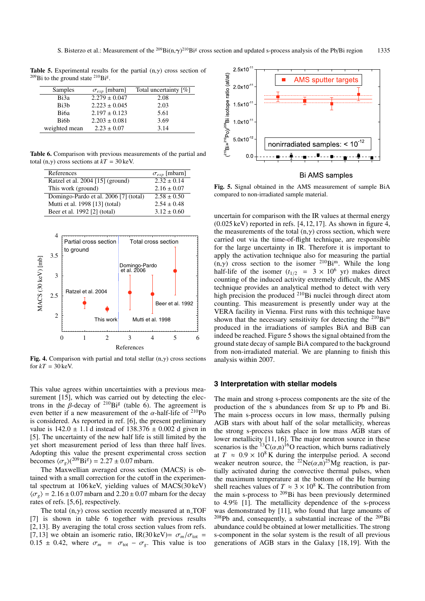**Table 5.** Experimental results for the partial  $(n, \gamma)$  cross section of  $209$ Bi to the ground state  $210$ Bi<sup>g</sup>.

| Samples           | $\sigma_{exp}$ [mbarn] | Total uncertainty [%] |
|-------------------|------------------------|-----------------------|
| Bi3a              | $2.279 \pm 0.047$      | 2.08                  |
| Bi3 <sub>b</sub>  | $2.223 \pm 0.045$      | 2.03                  |
| Bi6a              | $2.197 \pm 0.123$      | 5.61                  |
| Bi <sub>6</sub> h | $2.203 \pm 0.081$      | 3.69                  |
| weighted mean     | $2.23 \pm 0.07$        | 3.14                  |

**Table 6.** Comparison with previous measurements of the partial and total (n, $\gamma$ ) cross sections at  $kT = 30 \,\text{keV}$ .

| References                            | $\sigma_{exp}$ [mbarn] |
|---------------------------------------|------------------------|
| Ratzel et al. 2004 [15] (ground)      | $2.32 \pm 0.14$        |
| This work (ground)                    | $2.16 \pm 0.07$        |
| Domingo-Pardo et al. 2006 [7] (total) | $2.58 \pm 0.50$        |
| Mutti et al. 1998 [13] (total)        | $2.54 \pm 0.48$        |
| Beer et al. 1992 [2] (total)          | $3.12 \pm 0.60$        |



**Fig. 4.** Comparison with partial and total stellar  $(n, \gamma)$  cross sections for  $kT = 30$  keV.

This value agrees within uncertainties with a previous measurement [15], which was carried out by detecting the electrons in the  $\beta$ -decay of <sup>210</sup>Bi<sup>g</sup> (table 6). The agreement is even better if a new measurement of the  $\alpha$ -half-life of <sup>210</sup>Po is considered. As reported in ref. [6], the present preliminary value is  $142.0 \pm 1.1$  d instead of  $138.376 \pm 0.002$  d given in [5]. The uncertainty of the new half life is still limited by the yet short measurement period of less than three half lives. Adopting this value the present experimental cross section becomes  $\langle \sigma_g \rangle (^{209} \text{Bi}^g) = 2.27 \pm 0.07 \text{ mbarn}.$ 

The Maxwellian averaged cross section (MACS) is obtained with a small correction for the cutoff in the experimental spectrum at 106 keV, yielding values of MACS(30 keV)  $\langle \sigma_g \rangle$  = 2.16 ± 0.07 mbarn and 2.20 ± 0.07 mbarn for the decay rates of refs. [5,6], respectively.

The total  $(n, \gamma)$  cross section recently measured at n\_TOF [7] is shown in table 6 together with previous results [2, 13]. By averaging the total cross section values from refs. [7,13] we obtain an isomeric ratio, IR(30 keV)=  $\sigma_m/\sigma_{\text{tot}}$  =  $0.15 \pm 0.42$ , where  $\sigma_m = \sigma_{\text{tot}} - \sigma_g$ . This value is too



#### Bi AMS samples

**Fig. 5.** Signal obtained in the AMS measurement of sample BiA compared to non-irradiated sample material.

uncertain for comparison with the IR values at thermal energy  $(0.025 \,\text{keV})$  reported in refs. [4, 12, 17]. As shown in figure 4, the measurements of the total  $(n, \gamma)$  cross section, which were carried out via the time-of-flight technique, are responsible for the large uncertainty in IR. Therefore it is important to apply the activation technique also for measuring the partial (n, $\gamma$ ) cross section to the isomer <sup>210</sup>Bi<sup>m</sup>. While the long half-life of the isomer  $(t_{1/2} = 3 \times 10^6 \text{ yr})$  makes direct counting of the induced activity extremely difficult, the AMS technique provides an analytical method to detect with very high precision the produced <sup>210</sup>Bi nuclei through direct atom counting. This measurement is presently under way at the VERA facility in Vienna. First runs with this technique have shown that the necessary sensitivity for detecting the  $^{210}Bi^m$ produced in the irradiations of samples BiA and BiB can indeed be reached. Figure 5 shows the signal obtained from the ground state decay of sample BiA compared to the background from non-irradiated material. We are planning to finish this analysis within 2007.

#### **3 Interpretation with stellar models**

The main and strong s-process components are the site of the production of the s abundances from Sr up to Pb and Bi. The main s-process occurs in low mass, thermally pulsing AGB stars with about half of the solar metallicity, whereas the strong s-process takes place in low mass AGB stars of lower metallicity [11, 16]. The major neutron source in these scenarios is the <sup>13</sup>C( $\alpha$ ,n)<sup>16</sup>O reaction, which burns radiatively at  $T \approx 0.9 \times 10^8$  K during the interpulse period. A second weaker neutron source, the <sup>22</sup>Ne( $\alpha$ ,n)<sup>25</sup>Mg reaction, is partially activated during the convective thermal pulses, when the maximum temperature at the bottom of the He burning shell reaches values of  $T \approx 3 \times 10^8$  K. The contribution from the main s-process to  $209$ Bi has been previously determined to 4.9% [1]. The metallicity dependence of the s-process was demonstrated by [11], who found that large amounts of  $208$ Pb and, consequently, a substantial increase of the  $209$ Bi abundance could be obtained at lower metallicities. The strong s-component in the solar system is the result of all previous generations of AGB stars in the Galaxy [18, 19]. With the